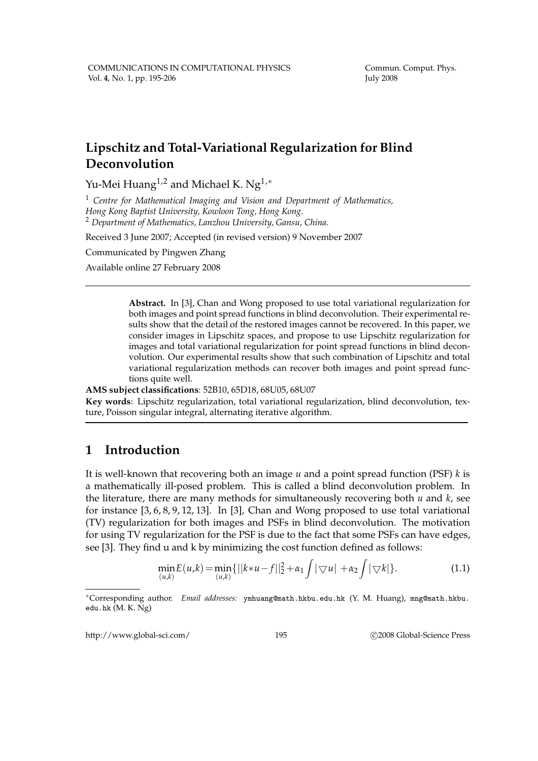# **Lipschitz and Total-Variational Regularization for Blind Deconvolution**

Yu-Mei Huang<sup>1,2</sup> and Michael K. Ng<sup>1,\*</sup>

<sup>1</sup> *Centre for Mathematical Imaging and Vision and Department of Mathematics, Hong Kong Baptist University, Kowloon Tong, Hong Kong.* <sup>2</sup> *Department of Mathematics, Lanzhou University, Gansu, China.*

Received 3 June 2007; Accepted (in revised version) 9 November 2007

Communicated by Pingwen Zhang

Available online 27 February 2008

**Abstract.** In [3], Chan and Wong proposed to use total variational regularization for both images and point spread functions in blind deconvolution. Their experimental results show that the detail of the restored images cannot be recovered. In this paper, we consider images in Lipschitz spaces, and propose to use Lipschitz regularization for images and total variational regularization for point spread functions in blind deconvolution. Our experimental results show that such combination of Lipschitz and total variational regularization methods can recover both images and point spread functions quite well.

**AMS subject classifications**: 52B10, 65D18, 68U05, 68U07

**Key words**: Lipschitz regularization, total variational regularization, blind deconvolution, texture, Poisson singular integral, alternating iterative algorithm.

## **1 Introduction**

It is well-known that recovering both an image *u* and a point spread function (PSF) *k* is a mathematically ill-posed problem. This is called a blind deconvolution problem. In the literature, there are many methods for simultaneously recovering both *u* and *k*, see for instance [3, 6, 8, 9, 12, 13]. In [3], Chan and Wong proposed to use total variational (TV) regularization for both images and PSFs in blind deconvolution. The motivation for using TV regularization for the PSF is due to the fact that some PSFs can have edges, see [3]. They find u and k by minimizing the cost function defined as follows:

$$
\min_{(u,k)} E(u,k) = \min_{(u,k)} \{ ||k*u - f||_2^2 + \alpha_1 \int |\nabla u| + \alpha_2 \int |\nabla k| \}. \tag{1.1}
$$

http://www.global-sci.com/ 195 c 2008 Global-Science Press

<sup>∗</sup>Corresponding author. *Email addresses:* ymhuang@math.hkbu.edu.hk (Y. M. Huang), mng@math.hkbu. edu.hk (M. K. Ng)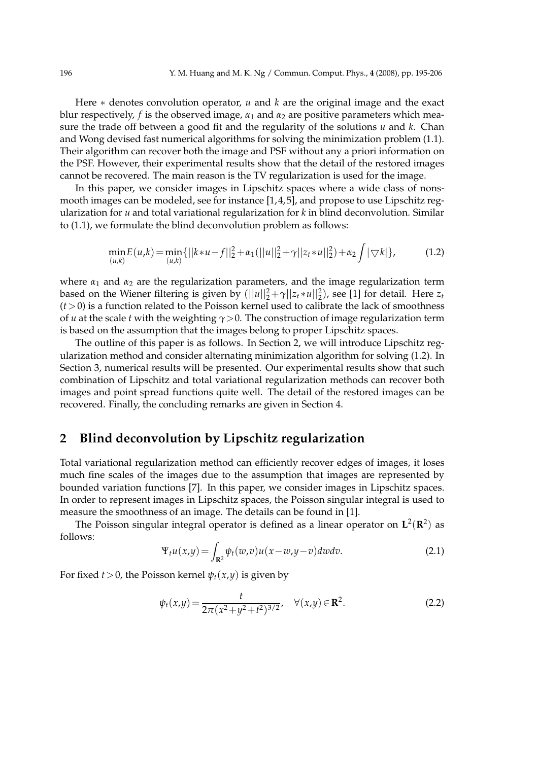Here ∗ denotes convolution operator, *u* and *k* are the original image and the exact blur respectively, *f* is the observed image,  $\alpha_1$  and  $\alpha_2$  are positive parameters which measure the trade off between a good fit and the regularity of the solutions *u* and *k*. Chan and Wong devised fast numerical algorithms for solving the minimization problem (1.1). Their algorithm can recover both the image and PSF without any a priori information on the PSF. However, their experimental results show that the detail of the restored images cannot be recovered. The main reason is the TV regularization is used for the image.

In this paper, we consider images in Lipschitz spaces where a wide class of nonsmooth images can be modeled, see for instance [1, 4, 5], and propose to use Lipschitz regularization for *u* and total variational regularization for *k* in blind deconvolution. Similar to (1.1), we formulate the blind deconvolution problem as follows:

$$
\min_{(u,k)} E(u,k) = \min_{(u,k)} \{ ||k*u - f||_2^2 + \alpha_1(||u||_2^2 + \gamma ||z_t * u||_2^2) + \alpha_2 \int |\nabla k| \},
$$
\n(1.2)

where  $\alpha_1$  and  $\alpha_2$  are the regularization parameters, and the image regularization term based on the Wiener filtering is given by  $(||u||_2^2 + \gamma ||z_t * u||_2^2)$ , see [1] for detail. Here  $z_t$  $(t>0)$  is a function related to the Poisson kernel used to calibrate the lack of smoothness of *u* at the scale *t* with the weighting *γ*>0. The construction of image regularization term is based on the assumption that the images belong to proper Lipschitz spaces.

The outline of this paper is as follows. In Section 2, we will introduce Lipschitz regularization method and consider alternating minimization algorithm for solving (1.2). In Section 3, numerical results will be presented. Our experimental results show that such combination of Lipschitz and total variational regularization methods can recover both images and point spread functions quite well. The detail of the restored images can be recovered. Finally, the concluding remarks are given in Section 4.

## **2 Blind deconvolution by Lipschitz regularization**

Total variational regularization method can efficiently recover edges of images, it loses much fine scales of the images due to the assumption that images are represented by bounded variation functions [7]. In this paper, we consider images in Lipschitz spaces. In order to represent images in Lipschitz spaces, the Poisson singular integral is used to measure the smoothness of an image. The details can be found in [1].

The Poisson singular integral operator is defined as a linear operator on  $\mathbf{L}^2(\mathbf{R}^2)$  as follows:

$$
\Psi_t u(x,y) = \int_{\mathbf{R}^2} \psi_t(w,v) u(x-w,y-v) \, dw \, dv. \tag{2.1}
$$

For fixed *t* > 0, the Poisson kernel  $\psi_t(x, y)$  is given by

$$
\psi_t(x,y) = \frac{t}{2\pi(x^2 + y^2 + t^2)^{3/2}}, \quad \forall (x,y) \in \mathbb{R}^2.
$$
 (2.2)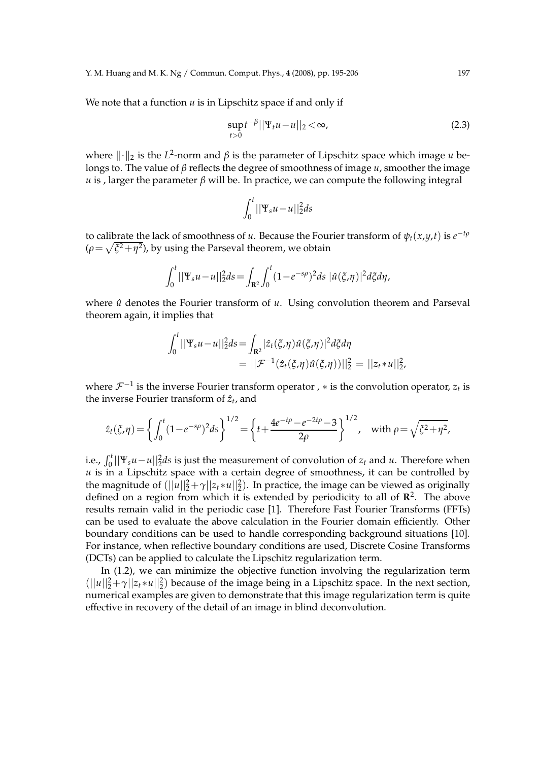We note that a function *u* is in Lipschitz space if and only if

$$
\sup_{t>0}t^{-\beta}||\Psi_t u - u||_2 < \infty,
$$
\n(2.3)

where  $\|\cdot\|_2$  is the *L*<sup>2</sup>-norm and *β* is the parameter of Lipschitz space which image *u* belongs to. The value of *β* reflects the degree of smoothness of image *u*, smoother the image *u* is, larger the parameter  $\beta$  will be. In practice, we can compute the following integral

$$
\int_0^t ||\Psi_s u - u||_2^2 ds
$$

to calibrate the lack of smoothness of *u*. Because the Fourier transform of  $\psi_t(x,y,t)$  is  $e^{-t\rho}$  $(\rho = \sqrt{\xi^2 + \eta^2})$ , by using the Parseval theorem, we obtain

$$
\int_0^t ||\Psi_s u - u||_2^2 ds = \int_{\mathbf{R}^2} \int_0^t (1 - e^{-s\rho})^2 ds \, |\hat{u}(\xi, \eta)|^2 d\xi d\eta,
$$

where  $\hat{u}$  denotes the Fourier transform of  $u$ . Using convolution theorem and Parseval theorem again, it implies that

$$
\int_0^t ||\Psi_s u - u||_2^2 ds = \int_{\mathbf{R}^2} |\hat{z}_t(\xi, \eta) \hat{u}(\xi, \eta)|^2 d\xi d\eta
$$
  
= 
$$
||\mathcal{F}^{-1}(\hat{z}_t(\xi, \eta) \hat{u}(\xi, \eta))||_2^2 = ||z_t * u||_2^2,
$$

where  $\mathcal{F}^{-1}$  is the inverse Fourier transform operator ,  $*$  is the convolution operator,  $z_t$  is the inverse Fourier transform of  $\hat{z}_t$ , and

$$
\hat{z}_t(\xi,\eta) = \left\{ \int_0^t (1-e^{-s\rho})^2 ds \right\}^{1/2} = \left\{ t + \frac{4e^{-t\rho} - e^{-2t\rho} - 3}{2\rho} \right\}^{1/2}, \quad \text{with } \rho = \sqrt{\xi^2 + \eta^2},
$$

i.e.,  $\int_0^t ||\Psi_s u - u||_2^2 ds$  is just the measurement of convolution of  $z_t$  and *u*. Therefore when  $u$  is in a Lipschitz space with a certain degree of smoothness, it can be controlled by the magnitude of  $(||u||_2^2 + \gamma ||z_t * u||_2^2)$ . In practice, the image can be viewed as originally defined on a region from which it is extended by periodicity to all of **R** 2 . The above results remain valid in the periodic case [1]. Therefore Fast Fourier Transforms (FFTs) can be used to evaluate the above calculation in the Fourier domain efficiently. Other boundary conditions can be used to handle corresponding background situations [10]. For instance, when reflective boundary conditions are used, Discrete Cosine Transforms (DCTs) can be applied to calculate the Lipschitz regularization term.

In (1.2), we can minimize the objective function involving the regularization term  $(||u||_2^2 + \gamma ||z_t * u||_2^2)$  because of the image being in a Lipschitz space. In the next section, numerical examples are given to demonstrate that this image regularization term is quite effective in recovery of the detail of an image in blind deconvolution.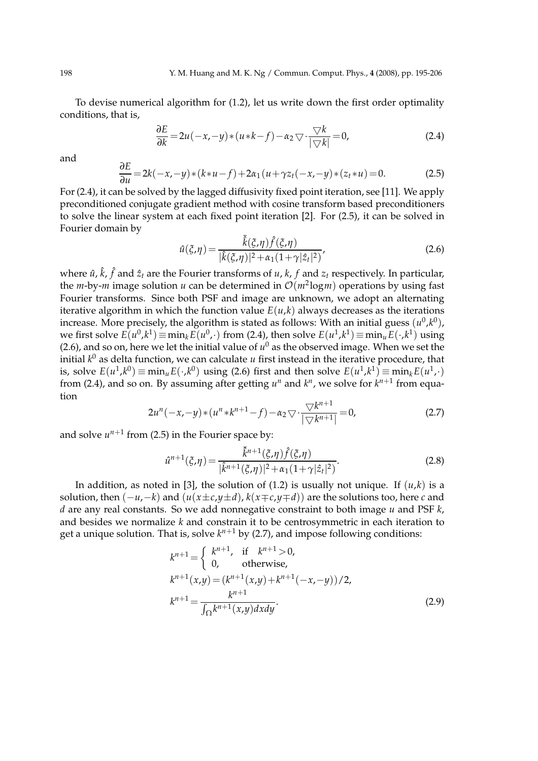To devise numerical algorithm for (1.2), let us write down the first order optimality conditions, that is,

$$
\frac{\partial E}{\partial k} = 2u(-x, -y) * (u*k - f) - \alpha_2 \nabla \cdot \frac{\nabla k}{|\nabla k|} = 0,
$$
\n(2.4)

and

$$
\frac{\partial E}{\partial u} = 2k(-x, -y) * (k * u - f) + 2\alpha_1 (u + \gamma z_t(-x, -y) * (z_t * u) = 0.
$$
 (2.5)

For (2.4), it can be solved by the lagged diffusivity fixed point iteration, see [11]. We apply preconditioned conjugate gradient method with cosine transform based preconditioners to solve the linear system at each fixed point iteration [2]. For (2.5), it can be solved in Fourier domain by

$$
\hat{u}(\xi,\eta) = \frac{\bar{\hat{k}}(\xi,\eta)\hat{f}(\xi,\eta)}{|\hat{k}(\xi,\eta)|^2 + \alpha_1(1+\gamma|\hat{z}_t|^2)},
$$
\n(2.6)

where  $\hat{u}$ ,  $\hat{k}$ ,  $\hat{f}$  and  $\hat{z}_t$  are the Fourier transforms of  $u$ ,  $k$ ,  $f$  and  $z_t$  respectively. In particular, the *m*-by-*m* image solution *u* can be determined in  $\mathcal{O}(m^2 \log m)$  operations by using fast Fourier transforms. Since both PSF and image are unknown, we adopt an alternating iterative algorithm in which the function value  $E(u,k)$  always decreases as the iterations increase. More precisely, the algorithm is stated as follows: With an initial guess  $(u^0,k^0)$ , we first solve  $E(u^0, k^1) \equiv \min_k E(u^0, \cdot)$  from (2.4), then solve  $E(u^1, k^1) \equiv \min_u E(\cdot, k^1)$  using (2.6), and so on, here we let the initial value of  $u^0$  as the observed image. When we set the initial *k* <sup>0</sup> as delta function, we can calculate *u* first instead in the iterative procedure, that is, solve  $E(u^1, k^0) \equiv \min_u E(\cdot, k^0)$  using (2.6) first and then solve  $E(u^1, k^1) \equiv \min_k E(u^1, k)$ from (2.4), and so on. By assuming after getting  $u^n$  and  $k^n$ , we solve for  $k^{n+1}$  from equation

$$
2u^{n}(-x,-y)*(u^{n} * k^{n+1}-f)-\alpha_2 \nabla \cdot \frac{\nabla k^{n+1}}{|\nabla k^{n+1}|}=0,
$$
\n(2.7)

and solve  $u^{n+1}$  from (2.5) in the Fourier space by:

$$
\hat{u}^{n+1}(\xi,\eta) = \frac{\bar{\hat{k}}^{n+1}(\xi,\eta)\hat{f}(\xi,\eta)}{|\hat{k}^{n+1}(\xi,\eta)|^2 + \alpha_1(1+\gamma|\hat{z}_t|^2)}.
$$
\n(2.8)

In addition, as noted in [3], the solution of (1.2) is usually not unique. If  $(u,k)$  is a solution, then (−*u*,−*k*) and (*u*(*x*±*c*,*y*±*d*), *k*(*x*∓*c*,*y*∓*d*)) are the solutions too, here *c* and *d* are any real constants. So we add nonnegative constraint to both image *u* and PSF *k*, and besides we normalize *k* and constrain it to be centrosymmetric in each iteration to get a unique solution. That is, solve  $k^{n+1}$  by (2.7), and impose following conditions:

$$
k^{n+1} = \begin{cases} k^{n+1}, & \text{if } k^{n+1} > 0, \\ 0, & \text{otherwise,} \end{cases}
$$
  
\n
$$
k^{n+1}(x,y) = (k^{n+1}(x,y) + k^{n+1}(-x,-y))/2,
$$
  
\n
$$
k^{n+1} = \frac{k^{n+1}}{\int_{\Omega} k^{n+1}(x,y) dx dy}.
$$
\n(2.9)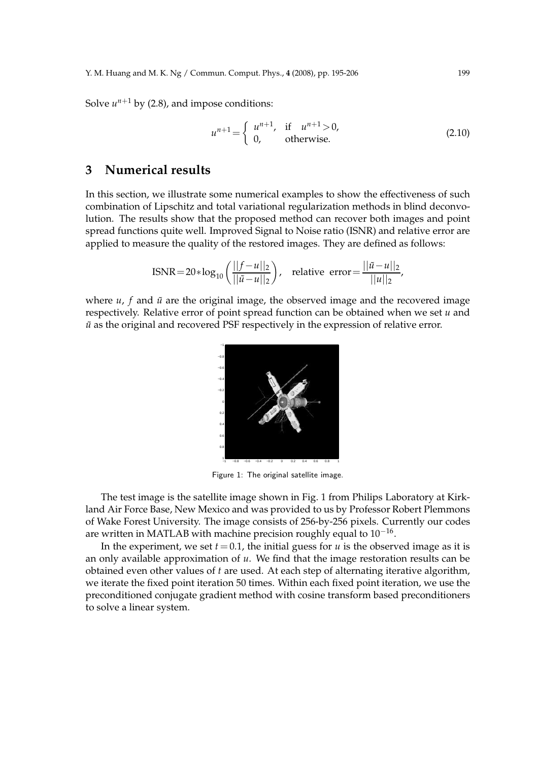Solve  $u^{n+1}$  by (2.8), and impose conditions:

$$
u^{n+1} = \begin{cases} u^{n+1}, & \text{if } u^{n+1} > 0, \\ 0, & \text{otherwise.} \end{cases}
$$
 (2.10)

#### **3 Numerical results**

In this section, we illustrate some numerical examples to show the effectiveness of such combination of Lipschitz and total variational regularization methods in blind deconvolution. The results show that the proposed method can recover both images and point spread functions quite well. Improved Signal to Noise ratio (ISNR) and relative error are applied to measure the quality of the restored images. They are defined as follows:

$$
\text{ISNR} = 20 * \log_{10} \left( \frac{||f - u||_2}{||\tilde{u} - u||_2} \right), \quad \text{relative error} = \frac{||\tilde{u} - u||_2}{||u||_2},
$$

where  $u$ ,  $f$  and  $\tilde{u}$  are the original image, the observed image and the recovered image respectively. Relative error of point spread function can be obtained when we set *u* and  $\tilde{u}$  as the original and recovered PSF respectively in the expression of relative error.



Figure 1: The original satellite image.

The test image is the satellite image shown in Fig. 1 from Philips Laboratory at Kirkland Air Force Base, New Mexico and was provided to us by Professor Robert Plemmons of Wake Forest University. The image consists of 256-by-256 pixels. Currently our codes are written in MATLAB with machine precision roughly equal to  $10^{-16}$ .

In the experiment, we set  $t = 0.1$ , the initial guess for  $u$  is the observed image as it is an only available approximation of *u*. We find that the image restoration results can be obtained even other values of *t* are used. At each step of alternating iterative algorithm, we iterate the fixed point iteration 50 times. Within each fixed point iteration, we use the preconditioned conjugate gradient method with cosine transform based preconditioners to solve a linear system.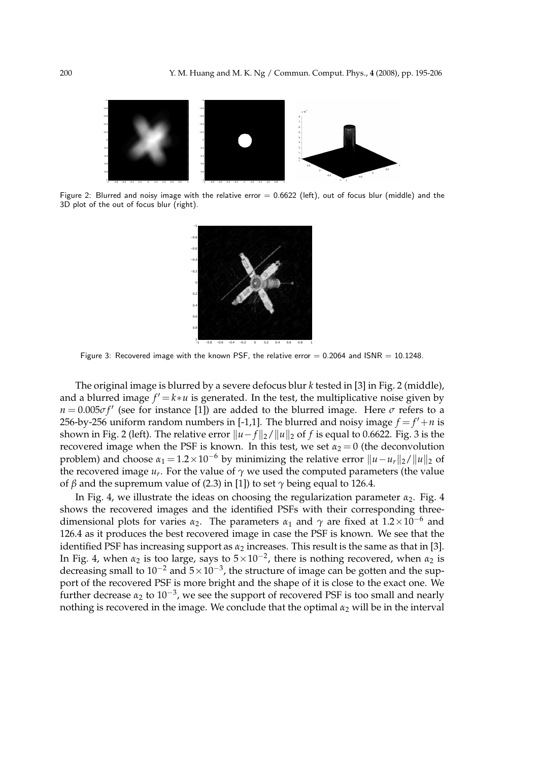

Figure 2: Blurred and noisy image with the relative error  $= 0.6622$  (left), out of focus blur (middle) and the 3D plot of the out of focus blur (right).



Figure 3: Recovered image with the known PSF, the relative error  $= 0.2064$  and ISNR  $= 10.1248$ .

The original image is blurred by a severe defocus blur *k* tested in [3] in Fig. 2 (middle), and a blurred image  $f' = k * u$  is generated. In the test, the multiplicative noise given by  $n = 0.005 \sigma f'$  (see for instance [1]) are added to the blurred image. Here  $\sigma$  refers to a 256-by-256 uniform random numbers in [-1,1]. The blurred and noisy image  $f = f' + n$  is shown in Fig. 2 (left). The relative error  $||u - f||_2 / ||u||_2$  of *f* is equal to 0.6622. Fig. 3 is the recovered image when the PSF is known. In this test, we set  $\alpha_2 = 0$  (the deconvolution problem) and choose  $\alpha_1 = 1.2 \times 10^{-6}$  by minimizing the relative error  $||u - u_r||_2/||u||_2$  of the recovered image  $u_r.$  For the value of  $\gamma$  we used the computed parameters (the value of *β* and the supremum value of (2.3) in [1]) to set  $\gamma$  being equal to 126.4.

In Fig. 4, we illustrate the ideas on choosing the regularization parameter *α*2. Fig. 4 shows the recovered images and the identified PSFs with their corresponding threedimensional plots for varies  $\alpha_2$ . The parameters  $\alpha_1$  and  $\gamma$  are fixed at 1.2×10<sup>-6</sup> and 126.4 as it produces the best recovered image in case the PSF is known. We see that the identified PSF has increasing support as  $\alpha_2$  increases. This result is the same as that in [3]. In Fig. 4, when  $\alpha_2$  is too large, says to  $5 \times 10^{-2}$ , there is nothing recovered, when  $\alpha_2$  is decreasing small to 10<sup>-2</sup> and  $5 \times 10^{-3}$ , the structure of image can be gotten and the support of the recovered PSF is more bright and the shape of it is close to the exact one. We further decrease *α*<sub>2</sub> to 10<sup>−3</sup>, we see the support of recovered PSF is too small and nearly nothing is recovered in the image. We conclude that the optimal  $\alpha_2$  will be in the interval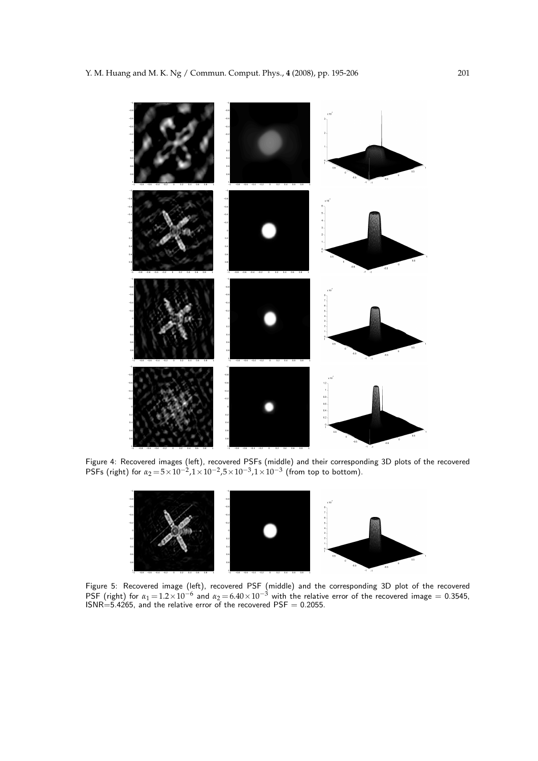

Figure 4: Recovered images (left), recovered PSFs (middle) and their corresponding 3D plots of the recovered PSFs (right) for  $\alpha_2 = 5 \times 10^{-2}$ ,1×10<sup>-2</sup>,5×10<sup>-3</sup>,1×10<sup>-3</sup> (from top to bottom).



Figure 5: Recovered image (left), recovered PSF (middle) and the corresponding 3D plot of the recovered PSF (right) for  $\alpha_1 = 1.2 \times 10^{-6}$  and  $\alpha_2 = 6.40 \times 10^{-3}$  with the relative error of the recovered image = 0.3545,<br>ISNR=5.4265, and the relative error of the recovered PSF = 0.2055.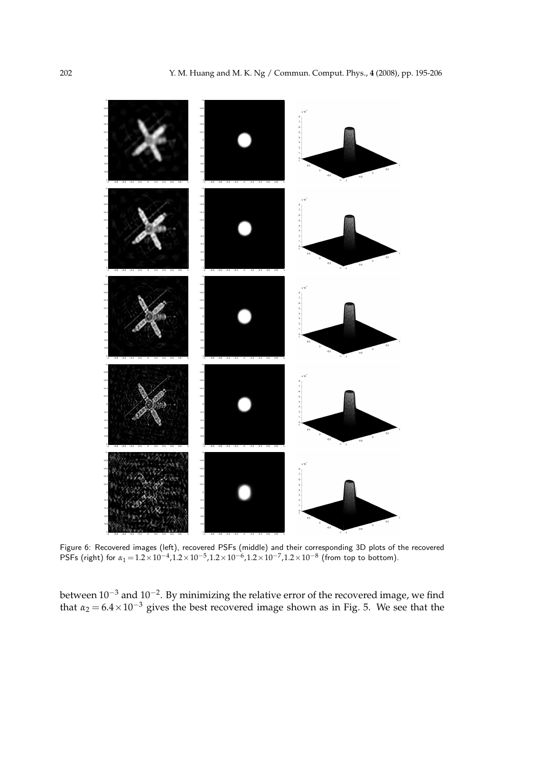

Figure 6: Recovered images (left), recovered PSFs (middle) and their corresponding 3D plots of the recovered PSFs (right) for  $\alpha_1 = 1.2 \times 10^{-4}$ ,  $1.2 \times 10^{-5}$ ,  $1.2 \times 10^{-6}$ ,  $1.2 \times 10^{-7}$ ,  $1.2 \times 10^{-8}$  (from top to bottom).

between 10<sup>-3</sup> and 10<sup>-2</sup>. By minimizing the relative error of the recovered image*,* we find that  $\alpha_2 = 6.4 \times 10^{-3}$  gives the best recovered image shown as in Fig. 5. We see that the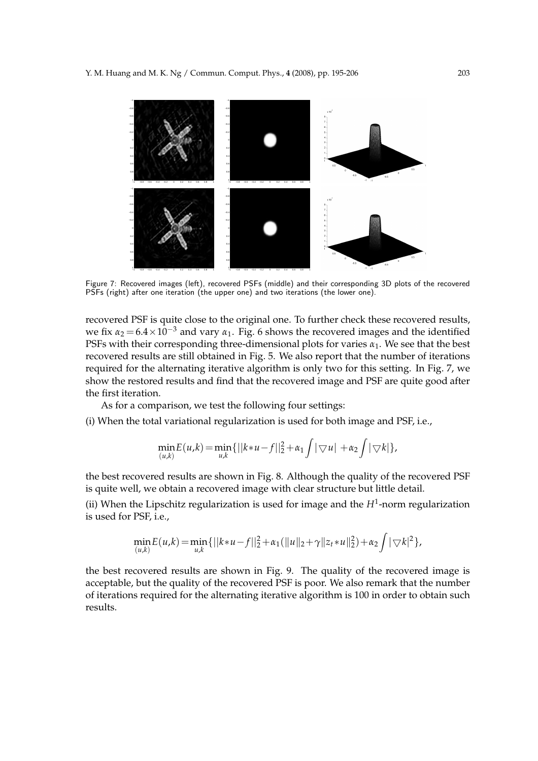

Figure 7: Recovered images (left), recovered PSFs (middle) and their corresponding 3D plots of the recovered PSFs (right) after one iteration (the upper one) and two iterations (the lower one).

recovered PSF is quite close to the original one. To further check these recovered results, we fix  $\alpha_2 = 6.4 \times 10^{-3}$  and vary  $\alpha_1$ . Fig. 6 shows the recovered images and the identified PSFs with their corresponding three-dimensional plots for varies  $\alpha_1$ . We see that the best recovered results are still obtained in Fig. 5. We also report that the number of iterations required for the alternating iterative algorithm is only two for this setting. In Fig. 7, we show the restored results and find that the recovered image and PSF are quite good after the first iteration.

As for a comparison, we test the following four settings:

(i) When the total variational regularization is used for both image and PSF, i.e.,

$$
\min_{(u,k)} E(u,k) = \min_{u,k} \{ ||k*u - f||_2^2 + \alpha_1 \int |\nabla u| + \alpha_2 \int |\nabla k| \},
$$

the best recovered results are shown in Fig. 8. Although the quality of the recovered PSF is quite well, we obtain a recovered image with clear structure but little detail.

(ii) When the Lipschitz regularization is used for image and the  $H^1$ -norm regularization is used for PSF, i.e.,

$$
\min_{(u,k)} E(u,k) = \min_{u,k} \{ ||k*u-f||_2^2 + \alpha_1(||u||_2 + \gamma ||z_t*u||_2^2) + \alpha_2 \int |\nabla k|^2 \},\
$$

the best recovered results are shown in Fig. 9. The quality of the recovered image is acceptable, but the quality of the recovered PSF is poor. We also remark that the number of iterations required for the alternating iterative algorithm is 100 in order to obtain such results.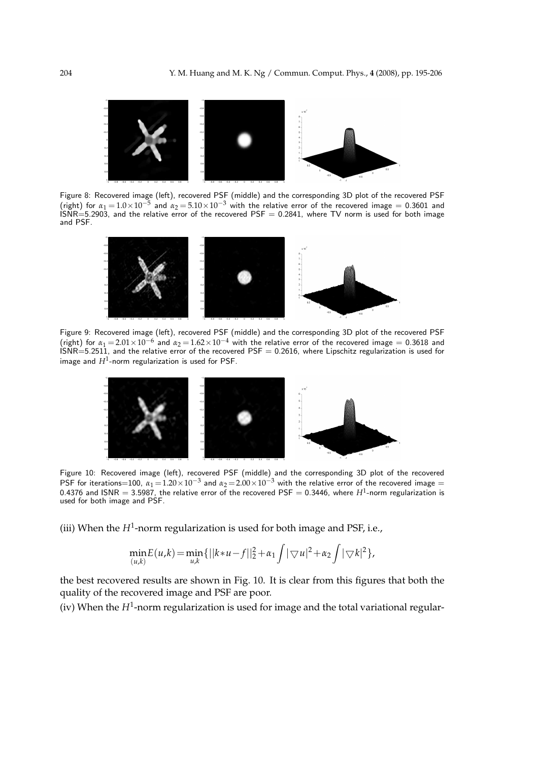

Figure 8: Recovered image (left), recovered PSF (middle) and the corresponding 3D plot of the recovered PSF (right) for  $\alpha_1 = 1.0 \times 10^{-5}$  and  $\alpha_2 = 5.10 \times 10^{-3}$  with the relative error of the recovered image = 0.3601 and  $INR = 5.2903$ , and the relative error of the recovered PSF = 0.2841, where TV norm is used for both image and PSF.



Figure 9: Recovered image (left), recovered PSF (middle) and the corresponding 3D plot of the recovered PSF (right) for  $\alpha_1 = 2.01 \times 10^{-6}$  and  $\alpha_2 = 1.62 \times 10^{-4}$  with the relative error of the recovered image = 0.3618 and<br>ISNR=5.2511, and the relative error of the recovered PSF = 0.2616, where Lipschitz regularization is us image and  $H^1$ -norm regularization is used for PSF.



Figure 10: Recovered image (left), recovered PSF (middle) and the corresponding 3D plot of the recovered PSF for iterations=100,  $\alpha_1 = 1.20 \times 10^{-3}$  and  $\alpha_2 = 2.00 \times 10^{-3}$  with the relative error of the recovered image = 0.4376 and ISNR  $=$  3.5987, the relative error of the recovered PSF  $=$  0.3446, where  $H^1$ -norm regularization is used for both image and PSF.

(iii) When the *H*<sup>1</sup> -norm regularization is used for both image and PSF, i.e.,

$$
\min_{(u,k)} E(u,k) = \min_{u,k} \{ ||k*u - f||_2^2 + \alpha_1 \int |\nabla u|^2 + \alpha_2 \int |\nabla k|^2 \},
$$

the best recovered results are shown in Fig. 10. It is clear from this figures that both the quality of the recovered image and PSF are poor.

(iv) When the *H*<sup>1</sup> -norm regularization is used for image and the total variational regular-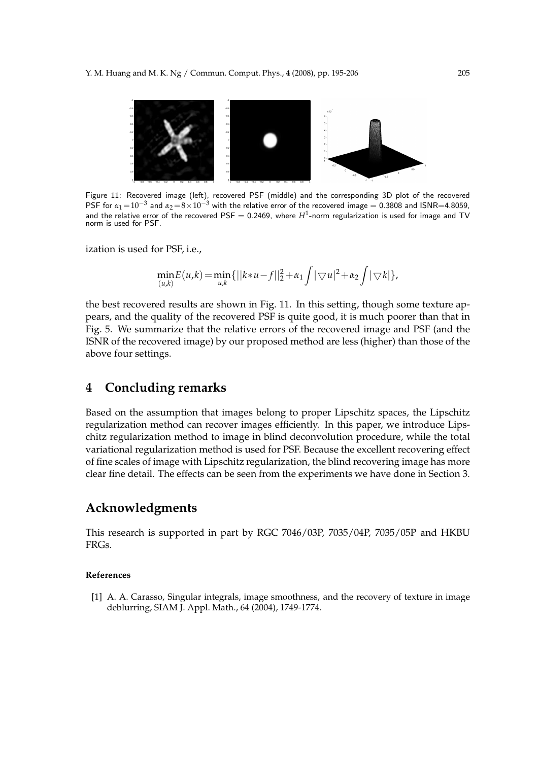

Figure 11: Recovered image (left), recovered PSF (middle) and the corresponding 3D plot of the recovered PSF for  $\alpha_1=10^{-3}$  and  $\alpha_2=8\times10^{-3}$  with the relative error of the recovered image = 0.3808 and ISNR=4.8059, and the relative error of the recovered PSF  $=$  0.2469, where  $H^1$ -norm regularization is used for image and TV norm is used for PSF.

ization is used for PSF, i.e.,

$$
\min_{(u,k)} E(u,k) = \min_{u,k} \{ ||k*u-f||_2^2 + \alpha_1 \int |\nabla u|^2 + \alpha_2 \int |\nabla k| \},
$$

the best recovered results are shown in Fig. 11. In this setting, though some texture appears, and the quality of the recovered PSF is quite good, it is much poorer than that in Fig. 5. We summarize that the relative errors of the recovered image and PSF (and the ISNR of the recovered image) by our proposed method are less (higher) than those of the above four settings.

### **4 Concluding remarks**

Based on the assumption that images belong to proper Lipschitz spaces, the Lipschitz regularization method can recover images efficiently. In this paper, we introduce Lipschitz regularization method to image in blind deconvolution procedure, while the total variational regularization method is used for PSF. Because the excellent recovering effect of fine scales of image with Lipschitz regularization, the blind recovering image has more clear fine detail. The effects can be seen from the experiments we have done in Section 3.

### **Acknowledgments**

This research is supported in part by RGC 7046/03P, 7035/04P, 7035/05P and HKBU FRGs.

#### **References**

[1] A. A. Carasso, Singular integrals, image smoothness, and the recovery of texture in image deblurring, SIAM J. Appl. Math., 64 (2004), 1749-1774.